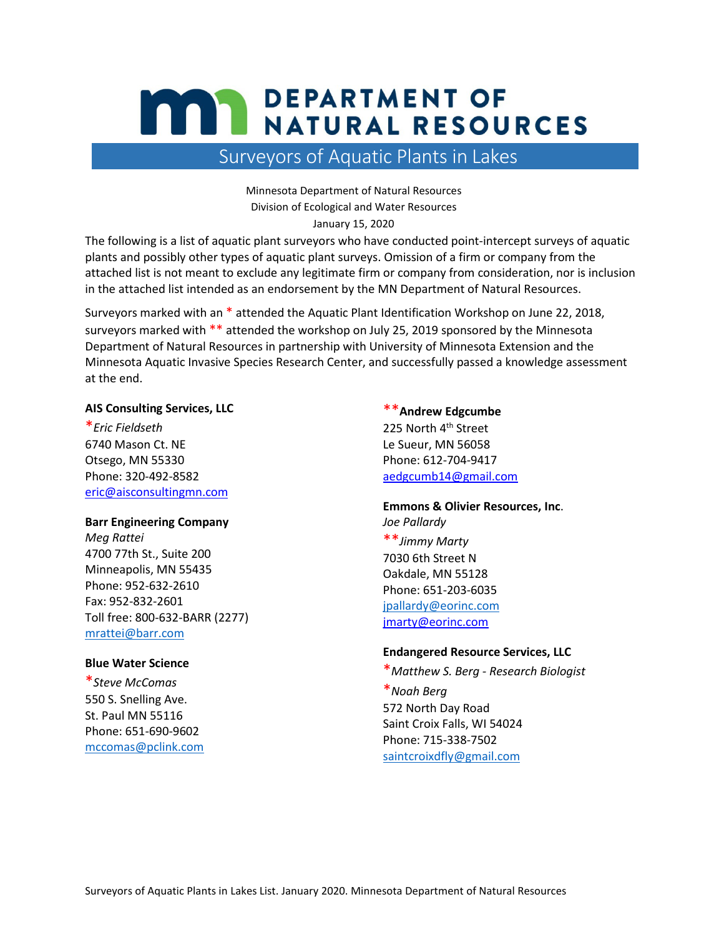# **MAY DEPARTMENT OF NATURAL RESOURCES**

# Surveyors of Aquatic Plants in Lakes

Minnesota Department of Natural Resources Division of Ecological and Water Resources January 15, 2020

The following is a list of aquatic plant surveyors who have conducted point-intercept surveys of aquatic plants and possibly other types of aquatic plant surveys. Omission of a firm or company from the attached list is not meant to exclude any legitimate firm or company from consideration, nor is inclusion in the attached list intended as an endorsement by the MN Department of Natural Resources.

Surveyors marked with an \* attended the Aquatic Plant Identification Workshop on June 22, 2018, surveyors marked with \*\* attended the workshop on July 25, 2019 sponsored by the Minnesota Department of Natural Resources in partnership with University of Minnesota Extension and the Minnesota Aquatic Invasive Species Research Center, and successfully passed a knowledge assessment at the end.

# **AIS Consulting Services, LLC**

\**Eric Fieldseth* 6740 Mason Ct. NE Otsego, MN 55330 Phone: 320-492-8582 [eric@aisconsultingmn.com](mailto:eric@aisconsultingmn.com)

## **Barr Engineering Company**

*Meg Rattei* 4700 77th St., Suite 200 Minneapolis, MN 55435 Phone: 952-632-2610 Fax: 952-832-2601 Toll free: 800-632-BARR (2277) [mrattei@barr.com](mailto:mrattei@barr.com)

# **Blue Water Science**

\**Steve McComas*  550 S. Snelling Ave. St. Paul MN 55116 Phone: 651-690-9602 [mccomas@pclink.com](mailto:mccomas@pclink.com)

\*\***Andrew Edgcumbe** 225 North 4<sup>th</sup> Street Le Sueur, MN 56058 Phone: 612-704-9417 [aedgcumb14@gmail.com](mailto:aedgcumb14@gmail.com)

**Emmons & Olivier Resources, Inc**. *Joe Pallardy* \*\**Jimmy Marty* 7030 6th Street N Oakdale, MN 55128 Phone: 651-203-6035 [jpallardy@eorinc.com](mailto:jpallardy@eorinc.com)

[jmarty@eorinc.com](mailto:jmarty@eorinc.com)

# **Endangered Resource Services, LLC**

\**Matthew S. Berg - Research Biologist* \**Noah Berg*  572 North Day Road Saint Croix Falls, WI 54024 Phone: 715-338-7502 [saintcroixdfly@gmail.com](mailto:saintcroixdfly@gmail.com)